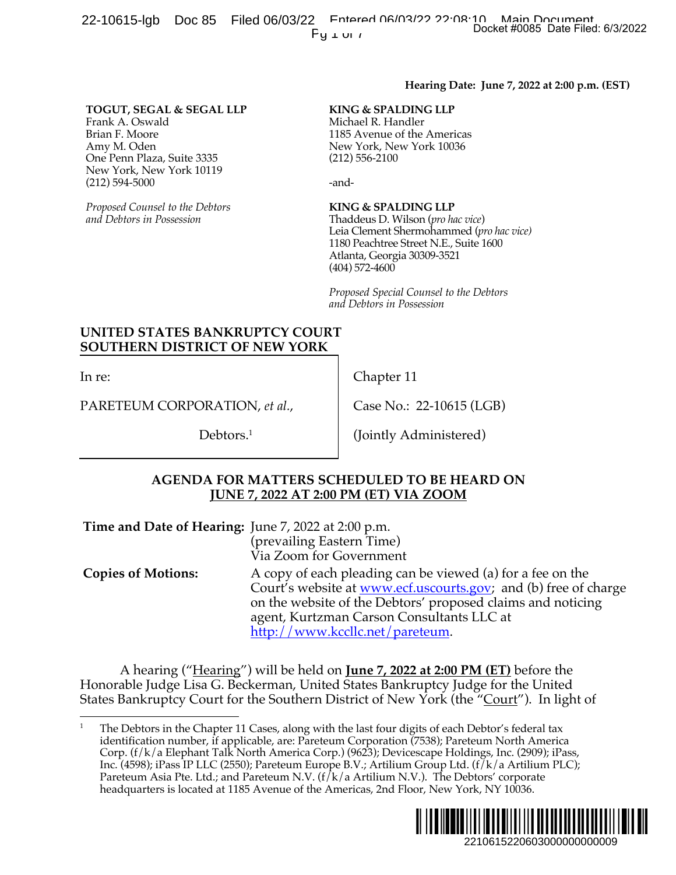22-10615-lgb Doc 85 Filed 06/03/22 Entered 06/03/22 Docket #0085 Date Filed: 6/3/2022  $Fu \perp \nu \perp \nu$ 

#### **Hearing Date: June 7, 2022 at 2:00 p.m. (EST)**

#### **KING & SPALDING LLP**

#### **KING & SPALDING LLP**

## **UNITED STATES BANKRUPTCY COURT SOUTHERN DISTRICT OF NEW YORK**

In re:

### **AGENDA FOR MATTERS SCHEDULED TO BE HEARD ON JUNE 7, 2022 AT 2:00 PM (ET) VIA ZOOM**

|                                                                                                                                                                              |                                                                                                                                                                                                                                                                                      | $Fy \perp \cup I$                                                                                                                                                                                                                                                                                                                                                                                                                                                                                                                                                                                      | Docket #0085 Date Filed: 6/3/2022             |
|------------------------------------------------------------------------------------------------------------------------------------------------------------------------------|--------------------------------------------------------------------------------------------------------------------------------------------------------------------------------------------------------------------------------------------------------------------------------------|--------------------------------------------------------------------------------------------------------------------------------------------------------------------------------------------------------------------------------------------------------------------------------------------------------------------------------------------------------------------------------------------------------------------------------------------------------------------------------------------------------------------------------------------------------------------------------------------------------|-----------------------------------------------|
|                                                                                                                                                                              |                                                                                                                                                                                                                                                                                      |                                                                                                                                                                                                                                                                                                                                                                                                                                                                                                                                                                                                        | Hearing Date: June 7, 2022 at 2:00 p.m. (EST) |
| TOGUT, SEGAL & SEGAL LLP<br>Frank A. Oswald<br>Brian F. Moore<br>Amy M. Oden<br>One Penn Plaza, Suite 3335<br>New York, New York 10119<br>$(212) 594 - 5000$                 |                                                                                                                                                                                                                                                                                      | KING & SPALDING LLP<br>Michael R. Handler<br>1185 Avenue of the Americas<br>New York, New York 10036<br>$(212)$ 556-2100<br>-and-                                                                                                                                                                                                                                                                                                                                                                                                                                                                      |                                               |
| Proposed Counsel to the Debtors<br>and Debtors in Possession                                                                                                                 |                                                                                                                                                                                                                                                                                      | KING & SPALDING LLP<br>Thaddeus D. Wilson (pro hac vice)<br>Leia Clement Shermohammed (pro hac vice)<br>1180 Peachtree Street N.E., Suite 1600<br>Atlanta, Georgia 30309-3521<br>$(404)$ 572-4600                                                                                                                                                                                                                                                                                                                                                                                                      |                                               |
|                                                                                                                                                                              |                                                                                                                                                                                                                                                                                      | Proposed Special Counsel to the Debtors<br>and Debtors in Possession                                                                                                                                                                                                                                                                                                                                                                                                                                                                                                                                   |                                               |
| UNITED STATES BANKRUPTCY COURT<br><b>SOUTHERN DISTRICT OF NEW YORK</b>                                                                                                       |                                                                                                                                                                                                                                                                                      |                                                                                                                                                                                                                                                                                                                                                                                                                                                                                                                                                                                                        |                                               |
| In re:                                                                                                                                                                       |                                                                                                                                                                                                                                                                                      | Chapter 11                                                                                                                                                                                                                                                                                                                                                                                                                                                                                                                                                                                             |                                               |
| PARETEUM CORPORATION, et al.,                                                                                                                                                |                                                                                                                                                                                                                                                                                      | Case No.: 22-10615 (LGB)                                                                                                                                                                                                                                                                                                                                                                                                                                                                                                                                                                               |                                               |
| Debtors. $1$                                                                                                                                                                 |                                                                                                                                                                                                                                                                                      | (Jointly Administered)                                                                                                                                                                                                                                                                                                                                                                                                                                                                                                                                                                                 |                                               |
|                                                                                                                                                                              |                                                                                                                                                                                                                                                                                      | <b>AGENDA FOR MATTERS SCHEDULED TO BE HEARD ON</b><br><b>JUNE 7, 2022 AT 2:00 PM (ET) VIA ZOOM</b>                                                                                                                                                                                                                                                                                                                                                                                                                                                                                                     |                                               |
| Time and Date of Hearing: June 7, 2022 at 2:00 p.m.                                                                                                                          | (prevailing Eastern Time)<br>Via Zoom for Government                                                                                                                                                                                                                                 |                                                                                                                                                                                                                                                                                                                                                                                                                                                                                                                                                                                                        |                                               |
| <b>Copies of Motions:</b>                                                                                                                                                    | A copy of each pleading can be viewed (a) for a fee on the<br>Court's website at <u>www.ecf.uscourts.gov</u> ; and (b) free of charge<br>on the website of the Debtors' proposed claims and noticing<br>agent, Kurtzman Carson Consultants LLC at<br>http://www.kccllc.net/pareteum. |                                                                                                                                                                                                                                                                                                                                                                                                                                                                                                                                                                                                        |                                               |
| Honorable Judge Lisa G. Beckerman, United States Bankruptcy Judge for the United<br>States Bankruptcy Court for the Southern District of New York (the "Court"). In light of |                                                                                                                                                                                                                                                                                      | A hearing ("Hearing") will be held on <b>June 7, 2022 at 2:00 PM (ET)</b> before the                                                                                                                                                                                                                                                                                                                                                                                                                                                                                                                   |                                               |
|                                                                                                                                                                              |                                                                                                                                                                                                                                                                                      | The Debtors in the Chapter 11 Cases, along with the last four digits of each Debtor's federal tax<br>identification number, if applicable, are: Pareteum Corporation (7538); Pareteum North America<br>Corp. (f/k/a Elephant Talk North America Corp.) (9623); Devicescape Holdings, Inc. (2909); iPass,<br>Inc. (4598); iPass IP LLC (2550); Pareteum Europe B.V.; Artilium Group Ltd. (f/k/a Artilium PLC);<br>Pareteum Asia Pte. Ltd.; and Pareteum N.V. ( $f/k/a$ Artilium N.V.). The Debtors' corporate<br>headquarters is located at 1185 Avenue of the Americas, 2nd Floor, New York, NY 10036. |                                               |
|                                                                                                                                                                              |                                                                                                                                                                                                                                                                                      |                                                                                                                                                                                                                                                                                                                                                                                                                                                                                                                                                                                                        | 2210615220603000000000009                     |

<sup>1</sup> The Debtors in the Chapter 11 Cases, along with the last four digits of each Debtor's federal tax identification number, if applicable, are: Pareteum Corporation (7538); Pareteum North America Corp. (f/k/a Elephant Talk North America Corp.) (9623); Devicescape Holdings, Inc. (2909); iPass, Inc. (4598); iPass IP LLC (2550); Pareteum Europe B.V.; Artilium Group Ltd. (f/k/a Artilium PLC); Pareteum Asia Pte. Ltd.; and Pareteum N.V. ( $f/k/a$  Artilium N.V.). The Debtors' corporate headquarters is located at 1185 Avenue of the Americas, 2nd Floor, New York, NY 10036.

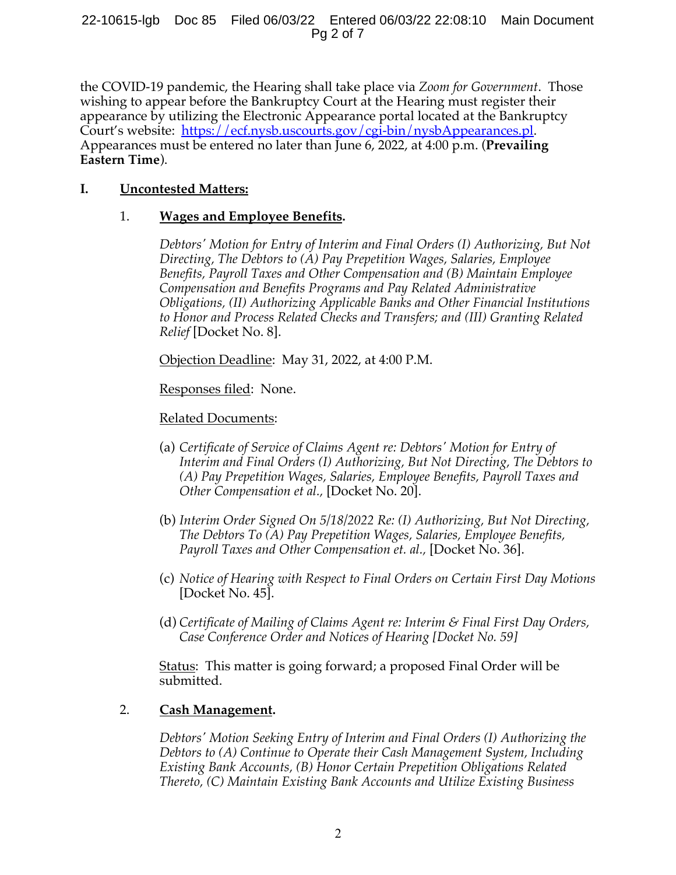22-10615-lgb Doc 85 Filed 06/03/22 Entered 06/03/22 22:08:10 Main Document Pg 2 of 7

the COVID-19 pandemic, the Hearing shall take place via *Zoom for Government*. Those wishing to appear before the Bankruptcy Court at the Hearing must register their appearance by utilizing the Electronic Appearance portal located at the Bankruptcy Court's website: https://ecf.nysb.uscourts.gov/cgi-bin/nysbAppearances.pl. Appearances must be entered no later than June 6, 2022, at 4:00 p.m. (**Prevailing Eastern Time**).

# **I. Uncontested Matters:**

# 1. **Wages and Employee Benefits.**

*Debtors' Motion for Entry of Interim and Final Orders (I) Authorizing, But Not Directing, The Debtors to (A) Pay Prepetition Wages, Salaries, Employee Benefits, Payroll Taxes and Other Compensation and (B) Maintain Employee Compensation and Benefits Programs and Pay Related Administrative Obligations, (II) Authorizing Applicable Banks and Other Financial Institutions to Honor and Process Related Checks and Transfers; and (III) Granting Related Relief* [Docket No. 8].

Objection Deadline: May 31, 2022, at 4:00 P.M.

Responses filed: None.

# Related Documents:

- (a) *Certificate of Service of Claims Agent re: Debtors' Motion for Entry of Interim and Final Orders (I) Authorizing, But Not Directing, The Debtors to (A) Pay Prepetition Wages, Salaries, Employee Benefits, Payroll Taxes and Other Compensation et al.,* [Docket No. 20].
- (b) *Interim Order Signed On 5/18/2022 Re: (I) Authorizing, But Not Directing, The Debtors To (A) Pay Prepetition Wages, Salaries, Employee Benefits, Payroll Taxes and Other Compensation et. al.,* [Docket No. 36].
- (c) *Notice of Hearing with Respect to Final Orders on Certain First Day Motions* [Docket No. 45].
- (d) *Certificate of Mailing of Claims Agent re: Interim & Final First Day Orders, Case Conference Order and Notices of Hearing [Docket No. 59]*

Status: This matter is going forward; a proposed Final Order will be submitted.

# 2. **Cash Management.**

*Debtors' Motion Seeking Entry of Interim and Final Orders (I) Authorizing the Debtors to (A) Continue to Operate their Cash Management System, Including Existing Bank Accounts, (B) Honor Certain Prepetition Obligations Related Thereto, (C) Maintain Existing Bank Accounts and Utilize Existing Business*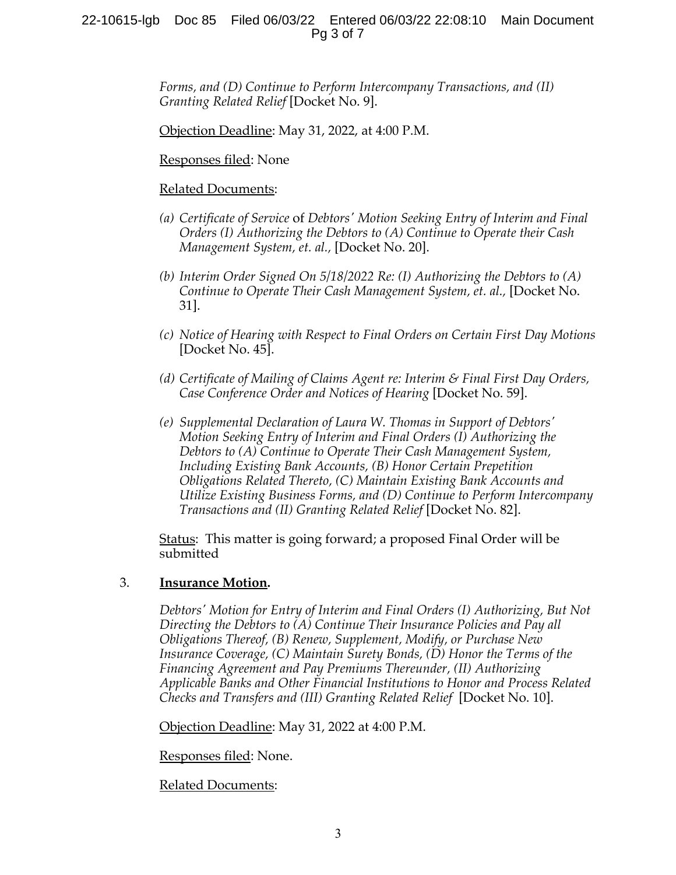## 22-10615-lgb Doc 85 Filed 06/03/22 Entered 06/03/22 22:08:10 Main Document Pg 3 of 7

*Forms, and (D) Continue to Perform Intercompany Transactions, and (II) Granting Related Relief* [Docket No. 9].

Objection Deadline: May 31, 2022, at 4:00 P.M.

Responses filed: None

## Related Documents:

- *(a) Certificate of Service* of *Debtors' Motion Seeking Entry of Interim and Final Orders (I) Authorizing the Debtors to (A) Continue to Operate their Cash Management System, et. al.,* [Docket No. 20].
- *(b) Interim Order Signed On 5/18/2022 Re: (I) Authorizing the Debtors to (A) Continue to Operate Their Cash Management System, et. al.,* [Docket No. 31].
- *(c) Notice of Hearing with Respect to Final Orders on Certain First Day Motions* [Docket No. 45].
- *(d) Certificate of Mailing of Claims Agent re: Interim & Final First Day Orders, Case Conference Order and Notices of Hearing* [Docket No. 59].
- *(e) Supplemental Declaration of Laura W. Thomas in Support of Debtors' Motion Seeking Entry of Interim and Final Orders (I) Authorizing the Debtors to (A) Continue to Operate Their Cash Management System, Including Existing Bank Accounts, (B) Honor Certain Prepetition Obligations Related Thereto, (C) Maintain Existing Bank Accounts and Utilize Existing Business Forms, and (D) Continue to Perform Intercompany Transactions and (II) Granting Related Relief* [Docket No. 82].

Status: This matter is going forward; a proposed Final Order will be submitted

### 3. **Insurance Motion.**

*Debtors' Motion for Entry of Interim and Final Orders (I) Authorizing, But Not Directing the Debtors to (A) Continue Their Insurance Policies and Pay all Obligations Thereof, (B) Renew, Supplement, Modify, or Purchase New Insurance Coverage, (C) Maintain Surety Bonds, (D) Honor the Terms of the Financing Agreement and Pay Premiums Thereunder, (II) Authorizing Applicable Banks and Other Financial Institutions to Honor and Process Related Checks and Transfers and (III) Granting Related Relief* [Docket No. 10].

Objection Deadline: May 31, 2022 at 4:00 P.M.

Responses filed: None.

### Related Documents: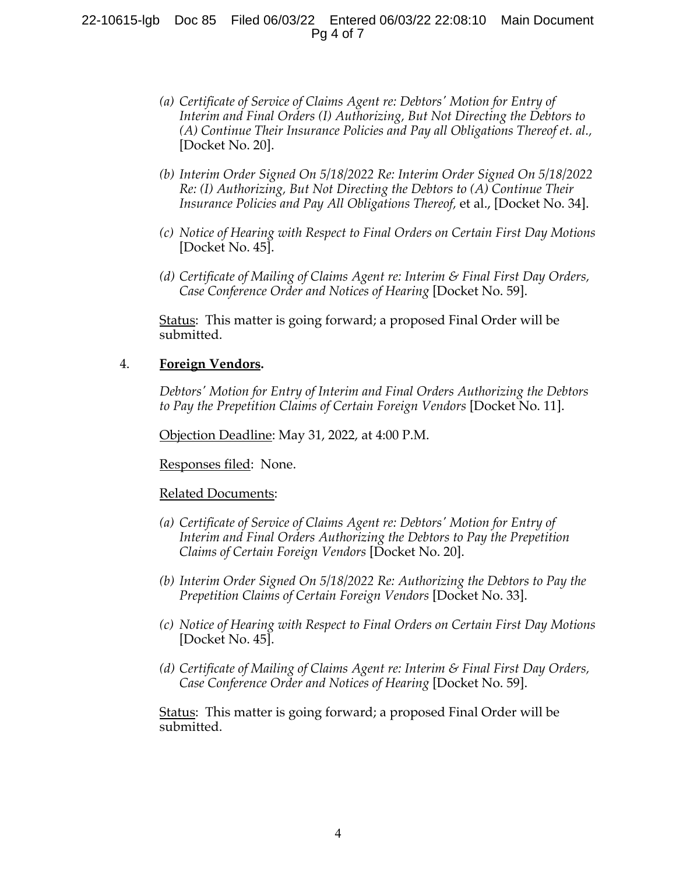## 22-10615-lgb Doc 85 Filed 06/03/22 Entered 06/03/22 22:08:10 Main Document Pg 4 of 7

- *(a) Certificate of Service of Claims Agent re: Debtors' Motion for Entry of Interim and Final Orders (I) Authorizing, But Not Directing the Debtors to (A) Continue Their Insurance Policies and Pay all Obligations Thereof et. al.,* [Docket No. 20].
- *(b) Interim Order Signed On 5/18/2022 Re: Interim Order Signed On 5/18/2022 Re: (I) Authorizing, But Not Directing the Debtors to (A) Continue Their Insurance Policies and Pay All Obligations Thereof,* et al., [Docket No. 34].
- *(c) Notice of Hearing with Respect to Final Orders on Certain First Day Motions* [Docket No. 45].
- *(d) Certificate of Mailing of Claims Agent re: Interim & Final First Day Orders, Case Conference Order and Notices of Hearing* [Docket No. 59].

Status: This matter is going forward; a proposed Final Order will be submitted.

## 4. **Foreign Vendors.**

*Debtors' Motion for Entry of Interim and Final Orders Authorizing the Debtors to Pay the Prepetition Claims of Certain Foreign Vendors* [Docket No. 11].

Objection Deadline: May 31, 2022, at 4:00 P.M.

Responses filed: None.

#### Related Documents:

- *(a) Certificate of Service of Claims Agent re: Debtors' Motion for Entry of Interim and Final Orders Authorizing the Debtors to Pay the Prepetition Claims of Certain Foreign Vendors* [Docket No. 20].
- *(b) Interim Order Signed On 5/18/2022 Re: Authorizing the Debtors to Pay the Prepetition Claims of Certain Foreign Vendors* [Docket No. 33].
- *(c) Notice of Hearing with Respect to Final Orders on Certain First Day Motions* [Docket No. 45].
- *(d) Certificate of Mailing of Claims Agent re: Interim & Final First Day Orders, Case Conference Order and Notices of Hearing* [Docket No. 59].

Status: This matter is going forward; a proposed Final Order will be submitted.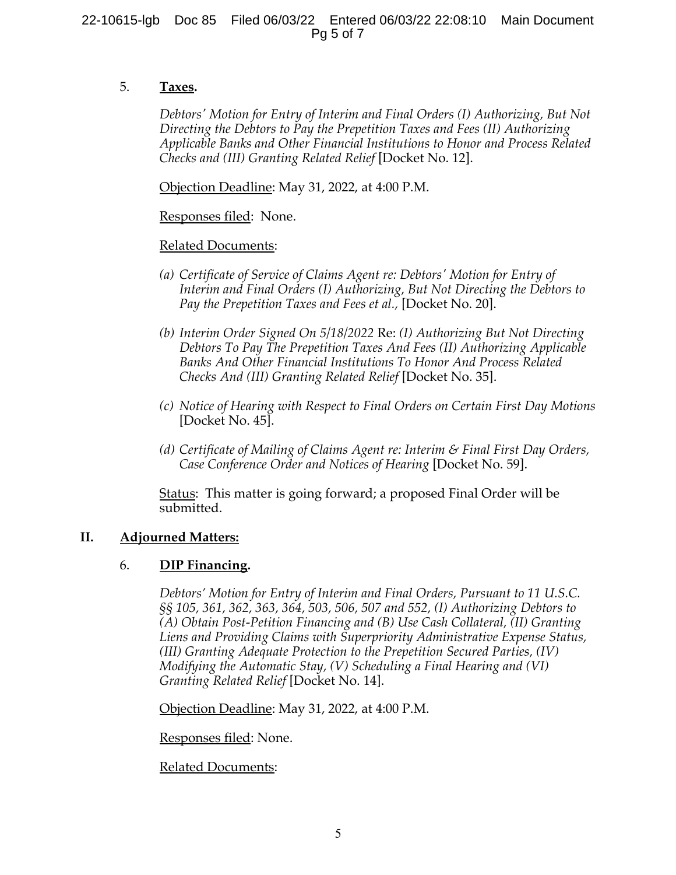## 5. **Taxes.**

*Debtors' Motion for Entry of Interim and Final Orders (I) Authorizing, But Not Directing the Debtors to Pay the Prepetition Taxes and Fees (II) Authorizing Applicable Banks and Other Financial Institutions to Honor and Process Related Checks and (III) Granting Related Relief* [Docket No. 12].

Objection Deadline: May 31, 2022, at 4:00 P.M.

## Responses filed: None.

## Related Documents:

- *(a) Certificate of Service of Claims Agent re: Debtors' Motion for Entry of Interim and Final Orders (I) Authorizing, But Not Directing the Debtors to Pay the Prepetition Taxes and Fees et al.,* [Docket No. 20].
- *(b) Interim Order Signed On 5/18/2022* Re: *(I) Authorizing But Not Directing Debtors To Pay The Prepetition Taxes And Fees (II) Authorizing Applicable Banks And Other Financial Institutions To Honor And Process Related Checks And (III) Granting Related Relief* [Docket No. 35].
- *(c) Notice of Hearing with Respect to Final Orders on Certain First Day Motions* [Docket No. 45].
- *(d) Certificate of Mailing of Claims Agent re: Interim & Final First Day Orders, Case Conference Order and Notices of Hearing* [Docket No. 59].

Status: This matter is going forward; a proposed Final Order will be submitted.

## **II. Adjourned Matters:**

## 6. **DIP Financing.**

*Debtors' Motion for Entry of Interim and Final Orders, Pursuant to 11 U.S.C. §§ 105, 361, 362, 363, 364, 503, 506, 507 and 552, (I) Authorizing Debtors to (A) Obtain Post-Petition Financing and (B) Use Cash Collateral, (II) Granting Liens and Providing Claims with Superpriority Administrative Expense Status, (III) Granting Adequate Protection to the Prepetition Secured Parties, (IV) Modifying the Automatic Stay, (V) Scheduling a Final Hearing and (VI) Granting Related Relief* [Docket No. 14].

Objection Deadline: May 31, 2022, at 4:00 P.M.

Responses filed: None.

### Related Documents: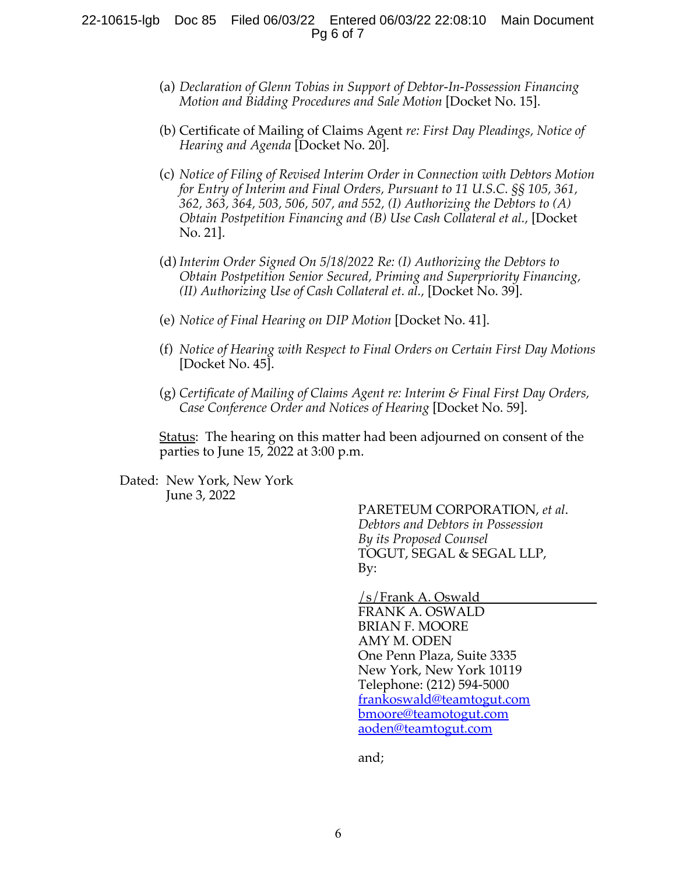### 22-10615-lgb Doc 85 Filed 06/03/22 Entered 06/03/22 22:08:10 Main Document Pg 6 of 7

- (a) *Declaration of Glenn Tobias in Support of Debtor-In-Possession Financing Motion and Bidding Procedures and Sale Motion* [Docket No. 15].
- (b) Certificate of Mailing of Claims Agent *re: First Day Pleadings, Notice of Hearing and Agenda* [Docket No. 20].
- (c) *Notice of Filing of Revised Interim Order in Connection with Debtors Motion for Entry of Interim and Final Orders, Pursuant to 11 U.S.C. §§ 105, 361, 362, 363, 364, 503, 506, 507, and 552, (I) Authorizing the Debtors to (A) Obtain Postpetition Financing and (B) Use Cash Collateral et al.,* [Docket No. 21].
- (d) *Interim Order Signed On 5/18/2022 Re: (I) Authorizing the Debtors to Obtain Postpetition Senior Secured, Priming and Superpriority Financing, (II) Authorizing Use of Cash Collateral et. al.,* [Docket No. 39].
- (e) *Notice of Final Hearing on DIP Motion* [Docket No. 41].
- (f) *Notice of Hearing with Respect to Final Orders on Certain First Day Motions* [Docket No. 45].
- (g) *Certificate of Mailing of Claims Agent re: Interim & Final First Day Orders, Case Conference Order and Notices of Hearing* [Docket No. 59].

Status: The hearing on this matter had been adjourned on consent of the parties to June 15, 2022 at 3:00 p.m.

Dated: New York, New York June 3, 2022

> PARETEUM CORPORATION, *et al*. *Debtors and Debtors in Possession By its Proposed Counsel* TOGUT, SEGAL & SEGAL LLP, By:

/s/Frank A. Oswald FRANK A. OSWALD BRIAN F. MOORE AMY M. ODEN One Penn Plaza, Suite 3335 New York, New York 10119 Telephone: (212) 594-5000 frankoswald@teamtogut.com bmoore@teamotogut.com aoden@teamtogut.com

and;